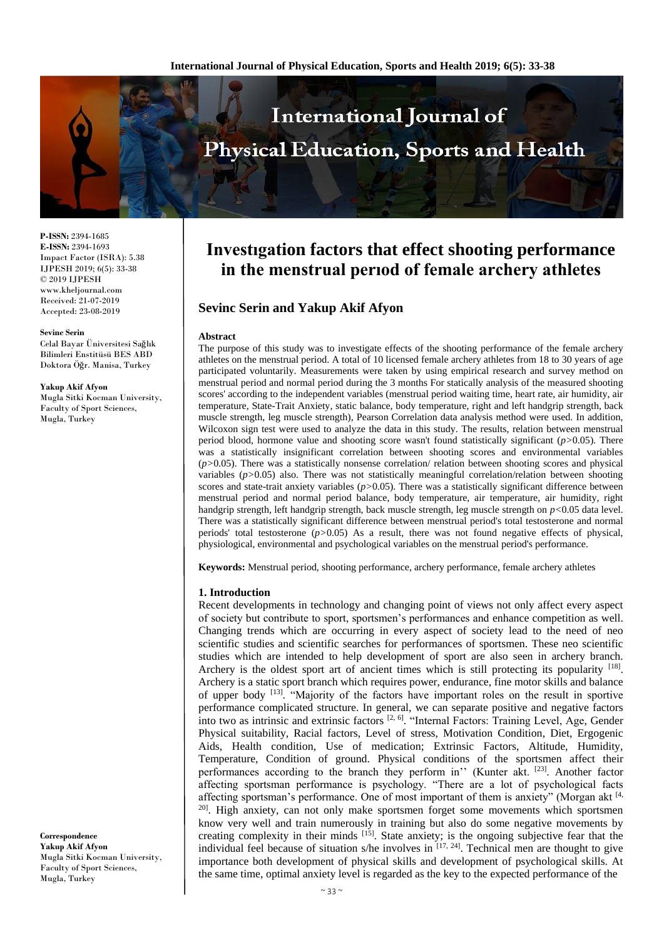

**P-ISSN:** 2394-1685 **E-ISSN:** 2394-1693 Impact Factor (ISRA): 5.38 IJPESH 2019; 6(5): 33-38 © 2019 IJPESH www.kheljournal.com Received: 21-07-2019 Accepted: 23-08-2019

#### **Sevinc Serin**

Celal Bayar Üniversitesi Sağlık Bilimleri Enstitüsü BES ABD Doktora Öğr. Manisa, Turkey

#### **Yakup Akif Afyon**

Mugla Sitki Kocman University, Faculty of Sport Sciences, Mugla, Turkey

**Correspondence Yakup Akif Afyon** Mugla Sitki Kocman University, Faculty of Sport Sciences, Mugla, Turkey

# **Investıgation factors that effect shooting performance in the menstrual perıod of female archery athletes**

# **Sevinc Serin and Yakup Akif Afyon**

#### **Abstract**

The purpose of this study was to investigate effects of the shooting performance of the female archery athletes on the menstrual period. A total of 10 licensed female archery athletes from 18 to 30 years of age participated voluntarily. Measurements were taken by using empirical research and survey method on menstrual period and normal period during the 3 months For statically analysis of the measured shooting scores' according to the independent variables (menstrual period waiting time, heart rate, air humidity, air temperature, State-Trait Anxiety, static balance, body temperature, right and left handgrip strength, back muscle strength, leg muscle strength), Pearson Correlation data analysis method were used. In addition, Wilcoxon sign test were used to analyze the data in this study. The results, relation between menstrual period blood, hormone value and shooting score wasn't found statistically significant (*p>*0.05). There was a statistically insignificant correlation between shooting scores and environmental variables  $(p>0.05)$ . There was a statistically nonsense correlation/ relation between shooting scores and physical variables (*p>*0.05) also. There was not statistically meaningful correlation/relation between shooting scores and state-trait anxiety variables (*p>*0.05). There was a statistically significant difference between menstrual period and normal period balance, body temperature, air temperature, air humidity, right handgrip strength, left handgrip strength, back muscle strength, leg muscle strength on *p<*0.05 data level. There was a statistically significant difference between menstrual period's total testosterone and normal periods' total testosterone (*p>*0.05) As a result, there was not found negative effects of physical, physiological, environmental and psychological variables on the menstrual period's performance.

**Keywords:** Menstrual period, shooting performance, archery performance, female archery athletes

#### **1. Introduction**

Recent developments in technology and changing point of views not only affect every aspect of society but contribute to sport, sportsmen's performances and enhance competition as well. Changing trends which are occurring in every aspect of society lead to the need of neo scientific studies and scientific searches for performances of sportsmen. These neo scientific studies which are intended to help development of sport are also seen in archery branch. Archery is the oldest sport art of ancient times which is still protecting its popularity <sup>[18]</sup>. Archery is a static sport branch which requires power, endurance, fine motor skills and balance of upper body <sup>[13]</sup>. "Majority of the factors have important roles on the result in sportive performance complicated structure. In general, we can separate positive and negative factors into two as intrinsic and extrinsic factors<sup>[2, 6]</sup>. "Internal Factors: Training Level, Age, Gender Physical suitability, Racial factors, Level of stress, Motivation Condition, Diet, Ergogenic Aids, Health condition, Use of medication; Extrinsic Factors, Altitude, Humidity, Temperature, Condition of ground. Physical conditions of the sportsmen affect their performances according to the branch they perform in" (Kunter akt. [23]. Another factor affecting sportsman performance is psychology. "There are a lot of psychological facts affecting sportsman's performance. One of most important of them is anxiety" (Morgan akt [4, <sup>20]</sup>. High anxiety, can not only make sportsmen forget some movements which sportsmen know very well and train numerously in training but also do some negative movements by creating complexity in their minds [15]. State anxiety; is the ongoing subjective fear that the individual feel because of situation s/he involves in  $[17, 24]$ . Technical men are thought to give importance both development of physical skills and development of psychological skills. At the same time, optimal anxiety level is regarded as the key to the expected performance of the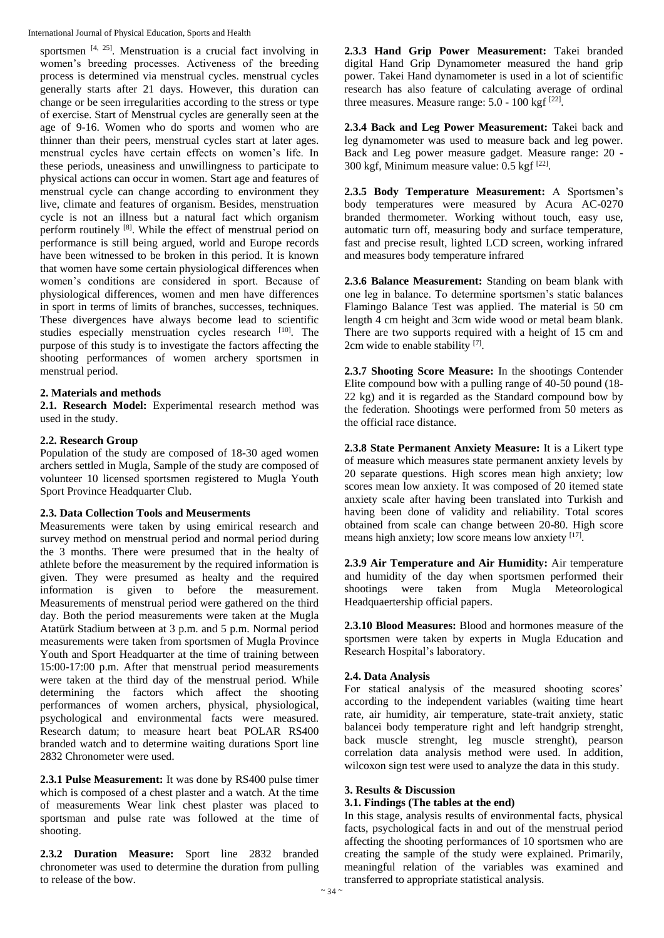sportsmen  $[4, 25]$ . Menstruation is a crucial fact involving in women's breeding processes. Activeness of the breeding process is determined via menstrual cycles. menstrual cycles generally starts after 21 days. However, this duration can change or be seen irregularities according to the stress or type of exercise. Start of Menstrual cycles are generally seen at the age of 9-16. Women who do sports and women who are thinner than their peers, menstrual cycles start at later ages. menstrual cycles have certain effects on women's life. In these periods, uneasiness and unwillingness to participate to physical actions can occur in women. Start age and features of menstrual cycle can change according to environment they live, climate and features of organism. Besides, menstruation cycle is not an illness but a natural fact which organism perform routinely [8]. While the effect of menstrual period on performance is still being argued, world and Europe records have been witnessed to be broken in this period. It is known that women have some certain physiological differences when women's conditions are considered in sport. Because of physiological differences, women and men have differences in sport in terms of limits of branches, successes, techniques. These divergences have always become lead to scientific studies especially menstruation cycles research [10]. The purpose of this study is to investigate the factors affecting the shooting performances of women archery sportsmen in menstrual period.

# **2. Materials and methods**

**2.1. Research Model:** Experimental research method was used in the study.

# **2.2. Research Group**

Population of the study are composed of 18-30 aged women archers settled in Mugla, Sample of the study are composed of volunteer 10 licensed sportsmen registered to Mugla Youth Sport Province Headquarter Club.

# **2.3. Data Collection Tools and Meuserments**

Measurements were taken by using emirical research and survey method on menstrual period and normal period during the 3 months. There were presumed that in the healty of athlete before the measurement by the required information is given. They were presumed as healty and the required information is given to before the measurement. Measurements of menstrual period were gathered on the third day. Both the period measurements were taken at the Mugla Atatürk Stadium between at 3 p.m. and 5 p.m. Normal period measurements were taken from sportsmen of Mugla Province Youth and Sport Headquarter at the time of training between 15:00-17:00 p.m. After that menstrual period measurements were taken at the third day of the menstrual period. While determining the factors which affect the shooting performances of women archers, physical, physiological, psychological and environmental facts were measured. Research datum; to measure heart beat POLAR RS400 branded watch and to determine waiting durations Sport line 2832 Chronometer were used.

**2.3.1 Pulse Measurement:** It was done by RS400 pulse timer which is composed of a chest plaster and a watch. At the time of measurements Wear link chest plaster was placed to sportsman and pulse rate was followed at the time of shooting.

**2.3.2 Duration Measure:** Sport line 2832 branded chronometer was used to determine the duration from pulling to release of the bow.

**2.3.3 Hand Grip Power Measurement:** Takei branded digital Hand Grip Dynamometer measured the hand grip power. Takei Hand dynamometer is used in a lot of scientific research has also feature of calculating average of ordinal three measures. Measure range: 5.0 - 100 kgf <a>[22]</a>.

**2.3.4 Back and Leg Power Measurement:** Takei back and leg dynamometer was used to measure back and leg power. Back and Leg power measure gadget. Measure range: 20 - 300 kgf, Minimum measure value: 0.5 kgf [22] .

**2.3.5 Body Temperature Measurement:** A Sportsmen's body temperatures were measured by Acura AC-0270 branded thermometer. Working without touch, easy use, automatic turn off, measuring body and surface temperature, fast and precise result, lighted LCD screen, working infrared and measures body temperature infrared

**2.3.6 Balance Measurement:** Standing on beam blank with one leg in balance. To determine sportsmen's static balances Flamingo Balance Test was applied. The material is 50 cm length 4 cm height and 3cm wide wood or metal beam blank. There are two supports required with a height of 15 cm and 2cm wide to enable stability [7].

**2.3.7 Shooting Score Measure:** In the shootings Contender Elite compound bow with a pulling range of 40-50 pound (18- 22 kg) and it is regarded as the Standard compound bow by the federation. Shootings were performed from 50 meters as the official race distance.

**2.3.8 State Permanent Anxiety Measure:** It is a Likert type of measure which measures state permanent anxiety levels by 20 separate questions. High scores mean high anxiety; low scores mean low anxiety. It was composed of 20 itemed state anxiety scale after having been translated into Turkish and having been done of validity and reliability. Total scores obtained from scale can change between 20-80. High score means high anxiety; low score means low anxiety [17].

**2.3.9 Air Temperature and Air Humidity:** Air temperature and humidity of the day when sportsmen performed their shootings were taken from Mugla Meteorological Headquaertership official papers.

**2.3.10 Blood Measures:** Blood and hormones measure of the sportsmen were taken by experts in Mugla Education and Research Hospital's laboratory.

# **2.4. Data Analysis**

For statical analysis of the measured shooting scores' according to the independent variables (waiting time heart rate, air humidity, air temperature, state-trait anxiety, static balancei body temperature right and left handgrip strenght, back muscle strenght, leg muscle strenght), pearson correlation data analysis method were used. In addition, wilcoxon sign test were used to analyze the data in this study.

# **3. Results & Discussion**

### **3.1. Findings (The tables at the end)**

In this stage, analysis results of environmental facts, physical facts, psychological facts in and out of the menstrual period affecting the shooting performances of 10 sportsmen who are creating the sample of the study were explained. Primarily, meaningful relation of the variables was examined and transferred to appropriate statistical analysis.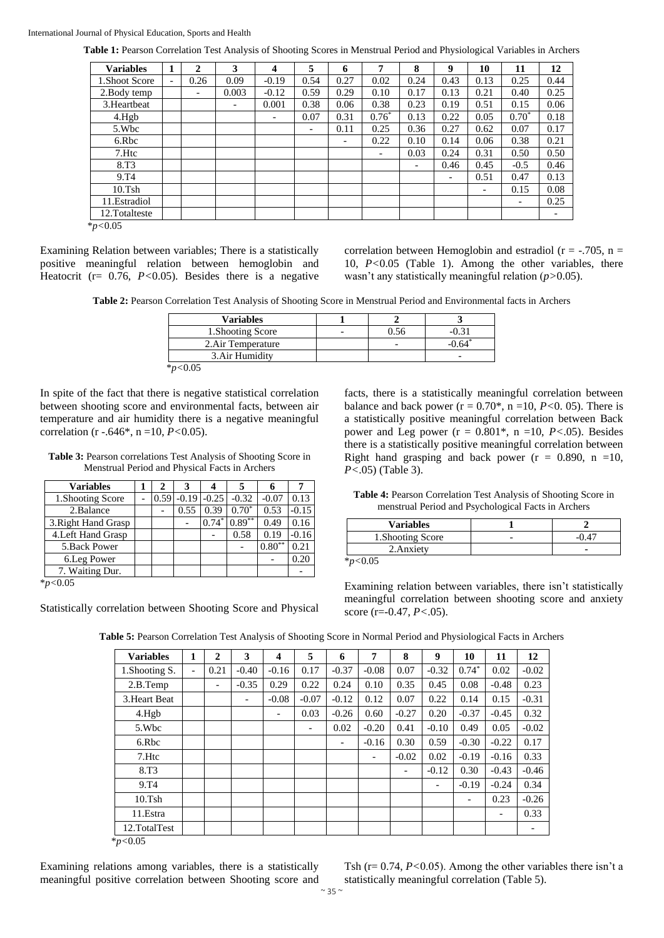**Table 1:** Pearson Correlation Test Analysis of Shooting Scores in Menstrual Period and Physiological Variables in Archers

| <b>Variables</b>  | 1                        | $\mathbf 2$              | 3                        | 4                        | 5    | 6    | 7                        | 8    | 9                        | 10   | 11                       | 12   |
|-------------------|--------------------------|--------------------------|--------------------------|--------------------------|------|------|--------------------------|------|--------------------------|------|--------------------------|------|
| 1. Shoot Score    | $\overline{\phantom{a}}$ | 0.26                     | 0.09                     | $-0.19$                  | 0.54 | 0.27 | 0.02                     | 0.24 | 0.43                     | 0.13 | 0.25                     | 0.44 |
| 2. Body temp      |                          | $\overline{\phantom{a}}$ | 0.003                    | $-0.12$                  | 0.59 | 0.29 | 0.10                     | 0.17 | 0.13                     | 0.21 | 0.40                     | 0.25 |
| 3. Heartbeat      |                          |                          | $\overline{\phantom{a}}$ | 0.001                    | 0.38 | 0.06 | 0.38                     | 0.23 | 0.19                     | 0.51 | 0.15                     | 0.06 |
| 4.Hg <sub>b</sub> |                          |                          |                          | $\overline{\phantom{a}}$ | 0.07 | 0.31 | $0.76*$                  | 0.13 | 0.22                     | 0.05 | $0.70*$                  | 0.18 |
| 5.Wbc             |                          |                          |                          |                          | -    | 0.11 | 0.25                     | 0.36 | 0.27                     | 0.62 | 0.07                     | 0.17 |
| 6.Rbc             |                          |                          |                          |                          |      | -    | 0.22                     | 0.10 | 0.14                     | 0.06 | 0.38                     | 0.21 |
| 7.Htc             |                          |                          |                          |                          |      |      | $\overline{\phantom{a}}$ | 0.03 | 0.24                     | 0.31 | 0.50                     | 0.50 |
| 8.T <sub>3</sub>  |                          |                          |                          |                          |      |      |                          | -    | 0.46                     | 0.45 | $-0.5$                   | 0.46 |
| 9.T <sub>4</sub>  |                          |                          |                          |                          |      |      |                          |      | $\overline{\phantom{a}}$ | 0.51 | 0.47                     | 0.13 |
| 10.Tsh            |                          |                          |                          |                          |      |      |                          |      |                          |      | 0.15                     | 0.08 |
| 11. Estradiol     |                          |                          |                          |                          |      |      |                          |      |                          |      | $\overline{\phantom{a}}$ | 0.25 |
| 12.Totalteste     |                          |                          |                          |                          |      |      |                          |      |                          |      |                          |      |
| $\sim$ 0.0 $\sim$ |                          |                          |                          |                          |      |      |                          |      |                          |      |                          |      |

\**p<*0.05

Examining Relation between variables; There is a statistically positive meaningful relation between hemoglobin and Heatocrit (r= 0.76, *P<*0.05). Besides there is a negative

correlation between Hemoglobin and estradiol ( $r = -705$ ,  $n =$ 10, *P<*0.05 (Table 1). Among the other variables, there wasn't any statistically meaningful relation (*p>*0.05).

**Table 2:** Pearson Correlation Test Analysis of Shooting Score in Menstrual Period and Environmental facts in Archers

| <b>Variables</b>              |  |  |
|-------------------------------|--|--|
| 1. Shooting Score             |  |  |
| 2. Air Temperature            |  |  |
| 3. Air Humidity               |  |  |
| $\star$ . $\sim$ 0.0 $\sigma$ |  |  |

\**p<*0.05

In spite of the fact that there is negative statistical correlation between shooting score and environmental facts, between air temperature and air humidity there is a negative meaningful correlation (r -.646\*, n =10, *P<*0.05).

**Table 3:** Pearson correlations Test Analysis of Shooting Score in Menstrual Period and Physical Facts in Archers

| <b>Variables</b>    |      |         |         |          |          |         |
|---------------------|------|---------|---------|----------|----------|---------|
| 1. Shooting Score   | 0.59 | $-0.19$ | $-0.25$ | $-0.32$  | $-0.07$  | 0.13    |
| 2.Balance           |      | 0.55    | 0.39    | $0.70*$  | 0.53     | $-0.15$ |
| 3. Right Hand Grasp |      |         | $0.74*$ | $0.89**$ | 0.49     | 0.16    |
| 4. Left Hand Grasp  |      |         |         | 0.58     | 0.19     | $-0.16$ |
| 5. Back Power       |      |         |         |          | $0.80**$ | 0.21    |
| 6. Leg Power        |      |         |         |          |          | 0.20    |
| 7. Waiting Dur.     |      |         |         |          |          |         |

\**p<*0.05

Statistically correlation between Shooting Score and Physical

facts, there is a statistically meaningful correlation between balance and back power  $(r = 0.70^*$ ,  $n = 10$ ,  $P < 0.05$ ). There is a statistically positive meaningful correlation between Back power and Leg power (r = 0.801\*, n =10, *P<*.05). Besides there is a statistically positive meaningful correlation between Right hand grasping and back power ( $r = 0.890$ ,  $n = 10$ , *P<*.05) (Table 3).

**Table 4:** Pearson Correlation Test Analysis of Shooting Score in menstrual Period and Psychological Facts in Archers

| <b>Variables</b>  |   |  |
|-------------------|---|--|
| 1. Shooting Score | - |  |
| 2. Anxiety        |   |  |
|                   |   |  |

\**p<*0.05

Examining relation between variables, there isn't statistically meaningful correlation between shooting score and anxiety score (r=-0.47, *P<*.05).

**Table 5:** Pearson Correlation Test Analysis of Shooting Score in Normal Period and Physiological Facts in Archers

| <b>Variables</b>  | 1                        | $\mathbf{2}$             | 3       | $\overline{\mathbf{4}}$  | 5       | 6       | 7                        | 8       | 9                            | 10                       | 11      | 12                       |
|-------------------|--------------------------|--------------------------|---------|--------------------------|---------|---------|--------------------------|---------|------------------------------|--------------------------|---------|--------------------------|
| 1. Shooting S.    | $\overline{\phantom{0}}$ | 0.21                     | $-0.40$ | $-0.16$                  | 0.17    | $-0.37$ | $-0.08$                  | 0.07    | $-0.32$                      | $0.74*$                  | 0.02    | $-0.02$                  |
| 2.B.Temp          |                          | $\overline{\phantom{a}}$ | $-0.35$ | 0.29                     | 0.22    | 0.24    | 0.10                     | 0.35    | 0.45                         | 0.08                     | $-0.48$ | 0.23                     |
| 3. Heart Beat     |                          |                          | -       | $-0.08$                  | $-0.07$ | $-0.12$ | 0.12                     | 0.07    | 0.22                         | 0.14                     | 0.15    | $-0.31$                  |
| 4.Hg <sub>b</sub> |                          |                          |         | $\overline{\phantom{a}}$ | 0.03    | $-0.26$ | 0.60                     | $-0.27$ | 0.20                         | $-0.37$                  | $-0.45$ | 0.32                     |
| 5.Wbc             |                          |                          |         |                          | -       | 0.02    | $-0.20$                  | 0.41    | $-0.10$                      | 0.49                     | 0.05    | $-0.02$                  |
| 6.Rbc             |                          |                          |         |                          |         | -       | $-0.16$                  | 0.30    | 0.59                         | $-0.30$                  | $-0.22$ | 0.17                     |
| 7.Htc             |                          |                          |         |                          |         |         | $\overline{\phantom{a}}$ | $-0.02$ | 0.02                         | $-0.19$                  | $-0.16$ | 0.33                     |
| 8.T <sub>3</sub>  |                          |                          |         |                          |         |         |                          | -       | $-0.12$                      | 0.30                     | $-0.43$ | $-0.46$                  |
| 9.T <sub>4</sub>  |                          |                          |         |                          |         |         |                          |         | $\qquad \qquad \blacksquare$ | $-0.19$                  | $-0.24$ | 0.34                     |
| 10.Tsh            |                          |                          |         |                          |         |         |                          |         |                              | $\overline{\phantom{a}}$ | 0.23    | $-0.26$                  |
| 11. Estra         |                          |                          |         |                          |         |         |                          |         |                              |                          | -       | 0.33                     |
| 12.TotalTest      |                          |                          |         |                          |         |         |                          |         |                              |                          |         | $\overline{\phantom{a}}$ |
| *n $\sim$ 0.6     |                          |                          |         |                          |         |         |                          |         |                              |                          |         |                          |

\**p<*0.05

Examining relations among variables, there is a statistically meaningful positive correlation between Shooting score and Tsh (r= 0.74, *P<*0.05). Among the other variables there isn't a statistically meaningful correlation (Table 5).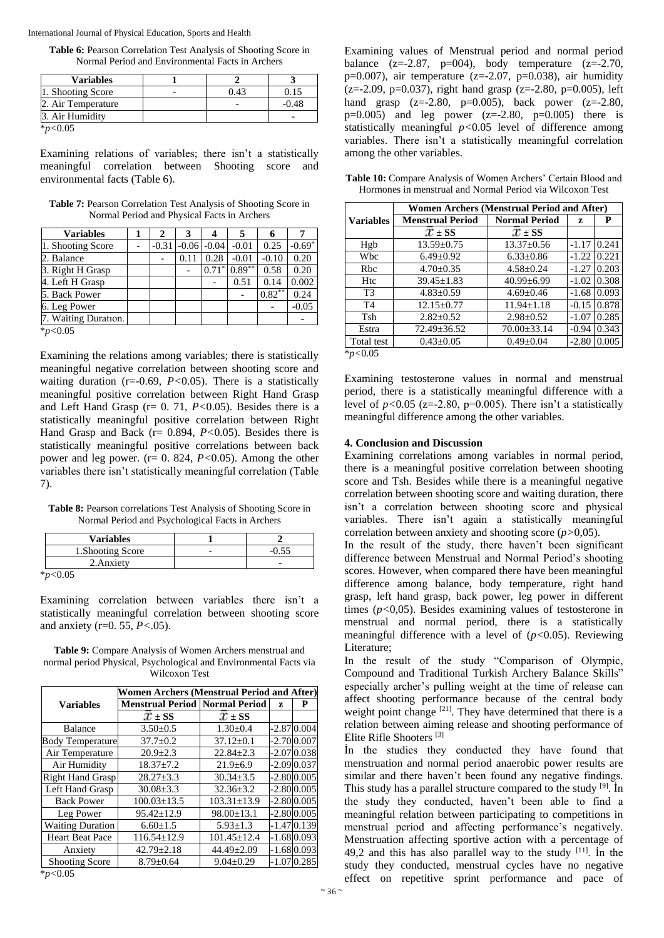**Table 6:** Pearson Correlation Test Analysis of Shooting Score in Normal Period and Environmental Facts in Archers

| <b>Variables</b>   |      |         |
|--------------------|------|---------|
| 1. Shooting Score  | 0.43 | 0.15    |
| 2. Air Temperature |      | $-0.48$ |
| 3. Air Humidity    |      |         |
| $*_{p<0.05}$       |      |         |

Examining relations of variables; there isn't a statistically meaningful correlation between Shooting score and environmental facts (Table 6).

**Table 7:** Pearson Correlation Test Analysis of Shooting Score in Normal Period and Physical Facts in Archers

| <b>Variables</b>     | 2       | 3       |                     |           | 6         |          |
|----------------------|---------|---------|---------------------|-----------|-----------|----------|
| 1. Shooting Score    | $-0.31$ | $-0.06$ | $-0.04$             | $-0.01$   | 0.25      | $-0.69*$ |
| 2. Balance           |         | 0.11    | 0.28                | $-0.01$   | $-0.10$   | 0.20     |
| 3. Right H Grasp     |         |         | $0.71$ <sup>*</sup> | $0.89***$ | 0.58      | 0.20     |
| 4. Left H Grasp      |         |         |                     | 0.51      | 0.14      | 0.002    |
| 5. Back Power        |         |         |                     |           | $0.82***$ | 0.24     |
| 6. Leg Power         |         |         |                     |           |           | $-0.05$  |
| 7. Waiting Duration. |         |         |                     |           |           |          |
| $*_{p<0.05}$         |         |         |                     |           |           |          |

Examining the relations among variables; there is statistically meaningful negative correlation between shooting score and waiting duration (r=-0.69, *P<*0.05). There is a statistically meaningful positive correlation between Right Hand Grasp and Left Hand Grasp (r= 0. 71, *P<*0.05). Besides there is a statistically meaningful positive correlation between Right Hand Grasp and Back (r= 0.894, *P<*0.05). Besides there is statistically meaningful positive correlations between back power and leg power. (r= 0. 824, *P<*0.05). Among the other variables there isn't statistically meaningful correlation (Table 7).

**Table 8:** Pearson correlations Test Analysis of Shooting Score in Normal Period and Psychological Facts in Archers

| <b>Variables</b>  |  |
|-------------------|--|
| 1. Shooting Score |  |
| 2. Anxiety        |  |

\**p<*0.05

Examining correlation between variables there isn't a statistically meaningful correlation between shooting score and anxiety (r=0. 55, *P<*.05).

**Table 9:** Compare Analysis of Women Archers menstrual and normal period Physical, Psychological and Environmental Facts via Wilcoxon Test

|                         | <b>Women Archers (Menstrual Period and After)</b> |                   |   |                |  |  |  |  |
|-------------------------|---------------------------------------------------|-------------------|---|----------------|--|--|--|--|
| <b>Variables</b>        | <b>Menstrual Period   Normal Period</b>           |                   | z | Р              |  |  |  |  |
|                         | $x = ss$                                          | $x \pm ss$        |   |                |  |  |  |  |
| Balance                 | $3.50 \pm 0.5$                                    | $1.30 \pm 0.4$    |   | $-2.87 0.004$  |  |  |  |  |
| <b>Body Temperature</b> | $37.7 \pm 0.2$                                    | $37.12 \pm 0.1$   |   | $-2.70 0.007$  |  |  |  |  |
| Air Temperature         | $20.9 \pm 2.3$                                    | $22.84 + 2.3$     |   | $-2.0700.038$  |  |  |  |  |
| Air Humidity            | $18.37 \pm 7.2$                                   | $21.9 \pm 6.9$    |   | $-2.0900.037$  |  |  |  |  |
| <b>Right Hand Grasp</b> | $28.27 \pm 3.3$                                   | $30.34 \pm 3.5$   |   | $-2.80\,0.005$ |  |  |  |  |
| Left Hand Grasp         | $30.08 \pm 3.3$                                   | $32.36 \pm 3.2$   |   | $-2.80\,0.005$ |  |  |  |  |
| <b>Back Power</b>       | $100.03 \pm 13.5$                                 | $103.31 \pm 13.9$ |   | $-2.80\,0.005$ |  |  |  |  |
| Leg Power               | $95.42 \pm 12.9$                                  | $98.00 \pm 13.1$  |   | $-2.80 0.005$  |  |  |  |  |
| <b>Waiting Duration</b> | $6.60 \pm 1.5$                                    | $5.93 \pm 1.3$    |   | $-1.4700.139$  |  |  |  |  |
| <b>Heart Beat Pace</b>  | $116.54 \pm 12.9$                                 | $101.45 \pm 12.4$ |   | $-1.6800.093$  |  |  |  |  |
| Anxiety                 | $42.79 \pm 2.18$                                  | $44.49 \pm 2.09$  |   | $-1.68 0.093$  |  |  |  |  |
| <b>Shooting Score</b>   | $8.79 \pm 0.64$                                   | $9.04 \pm 0.29$   |   | $-1.070.285$   |  |  |  |  |

\**p<*0.05

Examining values of Menstrual period and normal period balance  $(z=-2.87, p=004)$ , body temperature  $(z=-2.70,$ p=0.007), air temperature ( $z=2.07$ , p=0.038), air humidity  $(z=2.09, p=0.037)$ , right hand grasp  $(z=2.80, p=0.005)$ , left hand grasp  $(z=2.80, p=0.005)$ , back power  $(z=2.80, p=0.005)$  $p=0.005$ ) and leg power (z=-2.80,  $p=0.005$ ) there is statistically meaningful *p<*0.05 level of difference among variables. There isn't a statistically meaningful correlation among the other variables.

| Table 10: Compare Analysis of Women Archers' Certain Blood and |  |
|----------------------------------------------------------------|--|
| Hormones in menstrual and Normal Period via Wilcoxon Test      |  |

|                  | <b>Women Archers (Menstrual Period and After)</b> |                      |         |       |  |  |  |  |
|------------------|---------------------------------------------------|----------------------|---------|-------|--|--|--|--|
| <b>Variables</b> | <b>Menstrual Period</b>                           | <b>Normal Period</b> | z       | P     |  |  |  |  |
|                  | $x \pm ss$                                        | $x \pm ss$           |         |       |  |  |  |  |
| Hgb              | $13.59 \pm 0.75$                                  | $13.37 \pm 0.56$     | $-1.17$ | 0.241 |  |  |  |  |
| Wbc              | $6.49 \pm 0.92$                                   | $6.33 \pm 0.86$      | $-1.22$ | 0.221 |  |  |  |  |
| Rbc              | $4.70 \pm 0.35$                                   | $4.58 \pm 0.24$      | $-1.27$ | 0.203 |  |  |  |  |
| Htc              | $39.45 \pm 1.83$                                  | $40.99 \pm 6.99$     | $-1.02$ | 0.308 |  |  |  |  |
| T <sub>3</sub>   | $4.83 \pm 0.59$                                   | $4.69 \pm 0.46$      | $-1.68$ | 0.093 |  |  |  |  |
| T <sub>4</sub>   | $12.15 \pm 0.77$                                  | $11.94 \pm 1.18$     | $-0.15$ | 0.878 |  |  |  |  |
| Tsh              | $2.82 \pm 0.52$                                   | $2.98 \pm 0.52$      | $-1.07$ | 0.285 |  |  |  |  |
| Estra            | $72.49 \pm 36.52$                                 | $70.00 \pm 33.14$    | $-0.94$ | 0.343 |  |  |  |  |
| Total test       | $0.43 \pm 0.05$                                   | $0.49 \pm 0.04$      | $-2.80$ | 0.005 |  |  |  |  |
| $\approx -0.05$  |                                                   |                      |         |       |  |  |  |  |

\**p<*0.05

Examining testosterone values in normal and menstrual period, there is a statistically meaningful difference with a level of  $p < 0.05$  (z=-2.80, p=0.005). There isn't a statistically meaningful difference among the other variables.

#### **4. Conclusion and Discussion**

Examining correlations among variables in normal period, there is a meaningful positive correlation between shooting score and Tsh. Besides while there is a meaningful negative correlation between shooting score and waiting duration, there isn't a correlation between shooting score and physical variables. There isn't again a statistically meaningful correlation between anxiety and shooting score (*p>*0,05).

In the result of the study, there haven't been significant difference between Menstrual and Normal Period's shooting scores. However, when compared there have been meaningful difference among balance, body temperature, right hand grasp, left hand grasp, back power, leg power in different times (*p<*0,05). Besides examining values of testosterone in menstrual and normal period, there is a statistically meaningful difference with a level of (*p<*0.05). Reviewing Literature;

In the result of the study "Comparison of Olympic, Compound and Traditional Turkish Archery Balance Skills" especially archer's pulling weight at the time of release can affect shooting performance because of the central body weight point change <sup>[21]</sup>. They have determined that there is a relation between aiming release and shooting performance of Elite Rifle Shooters [3]

İn the studies they conducted they have found that menstruation and normal period anaerobic power results are similar and there haven't been found any negative findings. This study has a parallel structure compared to the study [9]. İn the study they conducted, haven't been able to find a meaningful relation between participating to competitions in menstrual period and affecting performance's negatively. Menstruation affecting sportive action with a percentage of 49,2 and this has also parallel way to the study  $[11]$ . In the study they conducted, menstrual cycles have no negative effect on repetitive sprint performance and pace of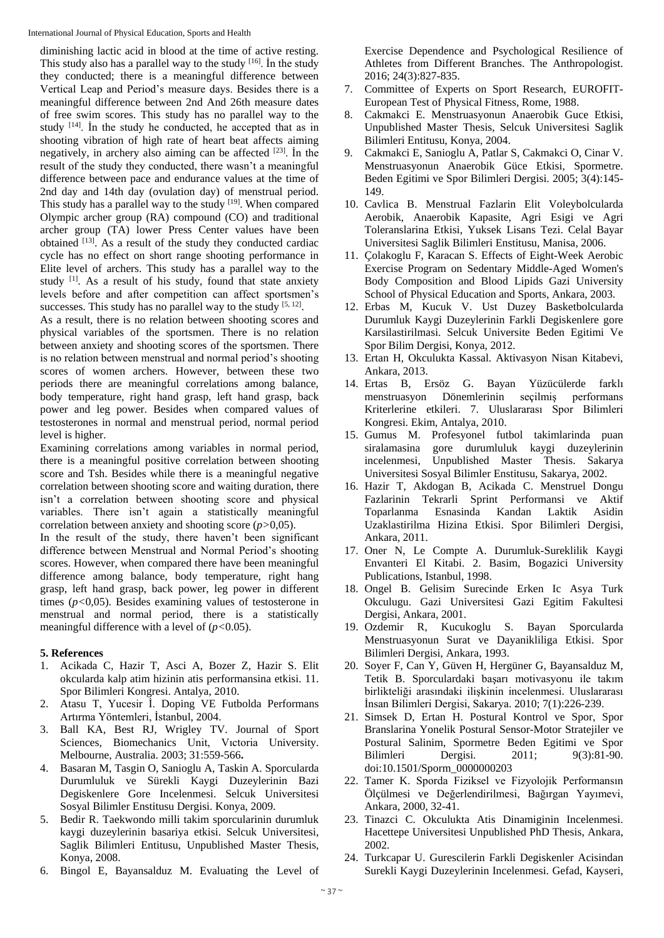diminishing lactic acid in blood at the time of active resting. This study also has a parallel way to the study [16]. İn the study they conducted; there is a meaningful difference between Vertical Leap and Period's measure days. Besides there is a meaningful difference between 2nd And 26th measure dates of free swim scores. This study has no parallel way to the study [14]. İn the study he conducted, he accepted that as in shooting vibration of high rate of heart beat affects aiming negatively, in archery also aiming can be affected  $[23]$ . In the result of the study they conducted, there wasn't a meaningful difference between pace and endurance values at the time of 2nd day and 14th day (ovulation day) of menstrual period. This study has a parallel way to the study <sup>[19]</sup>. When compared Olympic archer group (RA) compound (CO) and traditional archer group (TA) lower Press Center values have been obtained [13]. As a result of the study they conducted cardiac cycle has no effect on short range shooting performance in Elite level of archers. This study has a parallel way to the study <sup>[1]</sup>. As a result of his study, found that state anxiety levels before and after competition can affect sportsmen's successes. This study has no parallel way to the study  $[5, 12]$ .

As a result, there is no relation between shooting scores and physical variables of the sportsmen. There is no relation between anxiety and shooting scores of the sportsmen. There is no relation between menstrual and normal period's shooting scores of women archers. However, between these two periods there are meaningful correlations among balance, body temperature, right hand grasp, left hand grasp, back power and leg power. Besides when compared values of testosterones in normal and menstrual period, normal period level is higher.

Examining correlations among variables in normal period, there is a meaningful positive correlation between shooting score and Tsh. Besides while there is a meaningful negative correlation between shooting score and waiting duration, there isn't a correlation between shooting score and physical variables. There isn't again a statistically meaningful correlation between anxiety and shooting score (*p>*0,05).

In the result of the study, there haven't been significant difference between Menstrual and Normal Period's shooting scores. However, when compared there have been meaningful difference among balance, body temperature, right hang grasp, left hand grasp, back power, leg power in different times (*p<*0,05). Besides examining values of testosterone in menstrual and normal period, there is a statistically meaningful difference with a level of (*p<*0.05).

### **5. References**

- 1. Acikada C, Hazir T, Asci A, Bozer Z, Hazir S. Elit okcularda kalp atim hizinin atis performansina etkisi. 11. Spor Bilimleri Kongresi. Antalya, 2010.
- 2. Atasu T, Yucesir İ. Doping VE Futbolda Performans Artırma Yöntemleri, İstanbul, 2004.
- 3. Ball KA, Best RJ, Wrigley TV. Journal of Sport Sciences, Biomechanics Unit, Vıctoria University. Melbourne, Australia. 2003; 31:559-566**.**
- 4. Basaran M, Tasgin O, Sanioglu A, Taskin A. Sporcularda Durumluluk ve Sürekli Kaygi Duzeylerinin Bazi Degiskenlere Gore Incelenmesi. Selcuk Universitesi Sosyal Bilimler Enstitusu Dergisi. Konya, 2009.
- 5. Bedir R. Taekwondo milli takim sporcularinin durumluk kaygi duzeylerinin basariya etkisi. Selcuk Universitesi, Saglik Bilimleri Entitusu, Unpublished Master Thesis, Konya, 2008.
- 6. Bingol E, Bayansalduz M. Evaluating the Level of

Exercise Dependence and Psychological Resilience of Athletes from Different Branches. The Anthropologist. 2016; 24(3):827-835.

- 7. Committee of Experts on Sport Research, EUROFIT-European Test of Physical Fitness, Rome, 1988.
- 8. Cakmakci E. Menstruasyonun Anaerobik Guce Etkisi, Unpublished Master Thesis, Selcuk Universitesi Saglik Bilimleri Entitusu, Konya, 2004.
- 9. Cakmakci E, Sanioglu A, Patlar S, Cakmakci O, Cinar V. Menstruasyonun Anaerobik Güce Etkisi, Spormetre. Beden Egitimi ve Spor Bilimleri Dergisi. 2005; 3(4):145- 149.
- 10. Cavlica B. Menstrual Fazlarin Elit Voleybolcularda Aerobik, Anaerobik Kapasite, Agri Esigi ve Agri Toleranslarina Etkisi, Yuksek Lisans Tezi. Celal Bayar Universitesi Saglik Bilimleri Enstitusu, Manisa, 2006.
- 11. Çolakoglu F, Karacan S. Effects of Eight-Week Aerobic Exercise Program on Sedentary Middle-Aged Women's Body Composition and Blood Lipids Gazi University School of Physical Education and Sports, Ankara, 2003.
- 12. Erbas M, Kucuk V. Ust Duzey Basketbolcularda Durumluk Kaygi Duzeylerinin Farkli Degiskenlere gore Karsilastirilmasi. Selcuk Universite Beden Egitimi Ve Spor Bilim Dergisi, Konya, 2012.
- 13. Ertan H, Okculukta Kassal. Aktivasyon Nisan Kitabevi, Ankara, 2013.
- 14. Ertas B, Ersöz G. Bayan Yüzücülerde farklı menstruasyon Dönemlerinin seçilmiş performans Kriterlerine etkileri. 7. Uluslararası Spor Bilimleri Kongresi. Ekim, Antalya, 2010.
- 15. Gumus M. Profesyonel futbol takimlarinda puan siralamasina gore durumluluk kaygi duzeylerinin incelenmesi, Unpublished Master Thesis. Sakarya Universitesi Sosyal Bilimler Enstitusu, Sakarya, 2002.
- 16. Hazir T, Akdogan B, Acikada C. Menstruel Dongu Fazlarinin Tekrarli Sprint Performansi ve Aktif Toparlanma Esnasinda Kandan Laktik Asidin Uzaklastirilma Hizina Etkisi. Spor Bilimleri Dergisi, Ankara, 2011.
- 17. Oner N, Le Compte A. Durumluk-Sureklilik Kaygi Envanteri El Kitabi. 2. Basim, Bogazici University Publications, Istanbul, 1998.
- 18. Ongel B. Gelisim Surecinde Erken Ic Asya Turk Okculugu. Gazi Universitesi Gazi Egitim Fakultesi Dergisi, Ankara, 2001.
- 19. Ozdemir R, Kucukoglu S. Bayan Sporcularda Menstruasyonun Surat ve Dayanikliliga Etkisi. Spor Bilimleri Dergisi, Ankara, 1993.
- 20. Soyer F, Can Y, Güven H, Hergüner G, Bayansalduz M, Tetik B. Sporculardaki başarı motivasyonu ile takım birlikteliği arasındaki ilişkinin incelenmesi. Uluslararası İnsan Bilimleri Dergisi, Sakarya. 2010; 7(1):226-239.
- 21. Simsek D, Ertan H. Postural Kontrol ve Spor, Spor Branslarina Yonelik Postural Sensor-Motor Stratejiler ve Postural Salinim, Spormetre Beden Egitimi ve Spor Bilimleri Dergisi. 2011; 9(3):81-90. doi:10.1501/Sporm\_0000000203
- 22. Tamer K. Sporda Fiziksel ve Fizyolojik Performansın Ölçülmesi ve Değerlendirilmesi, Bağırgan Yayımevi, Ankara, 2000, 32-41.
- 23. Tinazci C. Okculukta Atis Dinamiginin Incelenmesi. Hacettepe Universitesi Unpublished PhD Thesis, Ankara, 2002.
- 24. Turkcapar U. Gurescilerin Farkli Degiskenler Acisindan Surekli Kaygi Duzeylerinin Incelenmesi. Gefad, Kayseri,